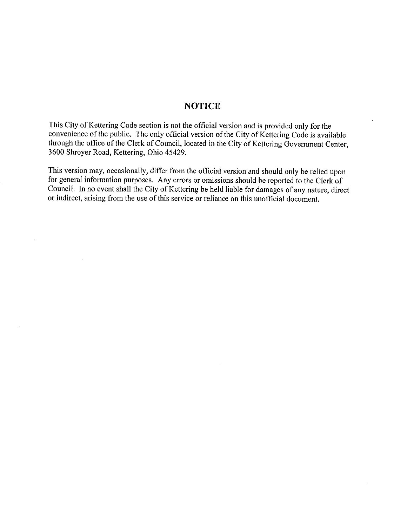## **NOTICE**

This City of Kettering Code section is not the official version and is provided only for the convenience of the public. The only official version of the City of Kettering Code is available through the office of the Clerk of Council, located in the City of Kettering Government Center, 3600 Shroyer Road, Kettering, Ohio 45429.

This version may, occasionally, differ from the official version and should only be relied upon for general information purposes. Any errors or omissions should be reported to the Clerk of Council. In no event shall the City of Kettering be held liable for damages of any nature, direct or indirect, arising from the use of this service or reliance on this unofficial document.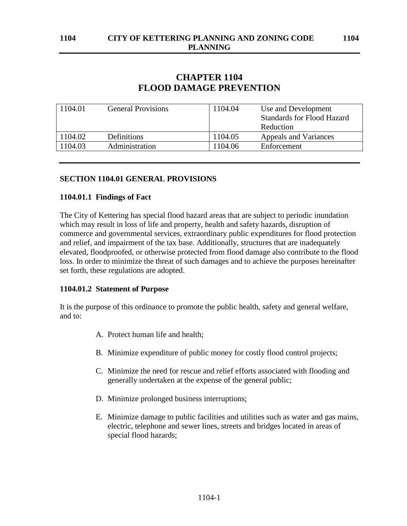# **CHAPTER 1104 FLOOD DAMAGE PREVENTION**

| 1104.01 | <b>General Provisions</b> | 1104.04 | Use and Development               |
|---------|---------------------------|---------|-----------------------------------|
|         |                           |         | <b>Standards for Flood Hazard</b> |
|         |                           |         | Reduction                         |
| 1104.02 | Definitions               | 1104.05 | Appeals and Variances             |
| 104.03  | Administration            | 1104.06 | Enforcement                       |

## **SECTION 1104.01 GENERAL PROVISIONS**

## **1104.01.1 Findings of Fact**

The City of Kettering has special flood hazard areas that are subject to periodic inundation which may result in loss of life and property, health and safety hazards, disruption of commerce and governmental services, extraordinary public expenditures for flood protection and relief, and impairment of the tax base. Additionally, structures that are inadequately elevated, floodproofed, or otherwise protected from flood damage also contribute to the flood loss. In order to minimize the threat of such damages and to achieve the purposes hereinafter set forth, these regulations are adopted.

## **1104.01.2 Statement of Purpose**

It is the purpose of this ordinance to promote the public health, safety and general welfare, and to:

- A. Protect human life and health;
- B. Minimize expenditure of public money for costly flood control projects;
- C. Minimize the need for rescue and relief efforts associated with flooding and generally undertaken at the expense of the general public;
- D. Minimize prolonged business interruptions;
- E. Minimize damage to public facilities and utilities such as water and gas mains, electric, telephone and sewer lines, streets and bridges located in areas of special flood hazards;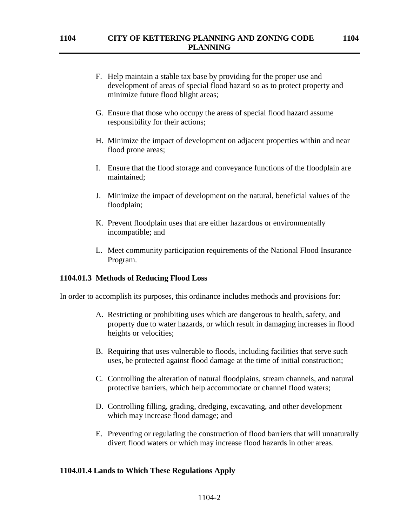- F. Help maintain a stable tax base by providing for the proper use and development of areas of special flood hazard so as to protect property and minimize future flood blight areas;
- G. Ensure that those who occupy the areas of special flood hazard assume responsibility for their actions;
- H. Minimize the impact of development on adjacent properties within and near flood prone areas;
- I. Ensure that the flood storage and conveyance functions of the floodplain are maintained;
- J. Minimize the impact of development on the natural, beneficial values of the floodplain;
- K. Prevent floodplain uses that are either hazardous or environmentally incompatible; and
- L. Meet community participation requirements of the National Flood Insurance Program.

#### **1104.01.3 Methods of Reducing Flood Loss**

In order to accomplish its purposes, this ordinance includes methods and provisions for:

- A. Restricting or prohibiting uses which are dangerous to health, safety, and property due to water hazards, or which result in damaging increases in flood heights or velocities;
- B. Requiring that uses vulnerable to floods, including facilities that serve such uses, be protected against flood damage at the time of initial construction;
- C. Controlling the alteration of natural floodplains, stream channels, and natural protective barriers, which help accommodate or channel flood waters;
- D. Controlling filling, grading, dredging, excavating, and other development which may increase flood damage; and
- E. Preventing or regulating the construction of flood barriers that will unnaturally divert flood waters or which may increase flood hazards in other areas.

## **1104.01.4 Lands to Which These Regulations Apply**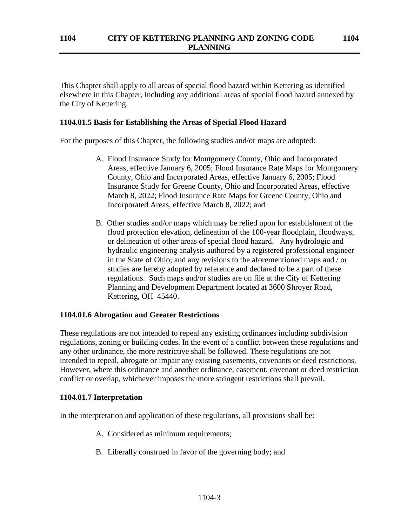This Chapter shall apply to all areas of special flood hazard within Kettering as identified elsewhere in this Chapter, including any additional areas of special flood hazard annexed by the City of Kettering.

### **1104.01.5 Basis for Establishing the Areas of Special Flood Hazard**

For the purposes of this Chapter, the following studies and/or maps are adopted:

- A. Flood Insurance Study for Montgomery County, Ohio and Incorporated Areas, effective January 6, 2005; Flood Insurance Rate Maps for Montgomery County, Ohio and Incorporated Areas, effective January 6, 2005; Flood Insurance Study for Greene County, Ohio and Incorporated Areas, effective March 8, 2022; Flood Insurance Rate Maps for Greene County, Ohio and Incorporated Areas, effective March 8, 2022; and
- B. Other studies and/or maps which may be relied upon for establishment of the flood protection elevation, delineation of the 100-year floodplain, floodways, or delineation of other areas of special flood hazard. Any hydrologic and hydraulic engineering analysis authored by a registered professional engineer in the State of Ohio; and any revisions to the aforementioned maps and / or studies are hereby adopted by reference and declared to be a part of these regulations. Such maps and/or studies are on file at the City of Kettering Planning and Development Department located at 3600 Shroyer Road, Kettering, OH 45440.

#### **1104.01.6 Abrogation and Greater Restrictions**

These regulations are not intended to repeal any existing ordinances including subdivision regulations, zoning or building codes. In the event of a conflict between these regulations and any other ordinance, the more restrictive shall be followed. These regulations are not intended to repeal, abrogate or impair any existing easements, covenants or deed restrictions. However, where this ordinance and another ordinance, easement, covenant or deed restriction conflict or overlap, whichever imposes the more stringent restrictions shall prevail.

#### **1104.01.7 Interpretation**

In the interpretation and application of these regulations, all provisions shall be:

- A. Considered as minimum requirements;
- B. Liberally construed in favor of the governing body; and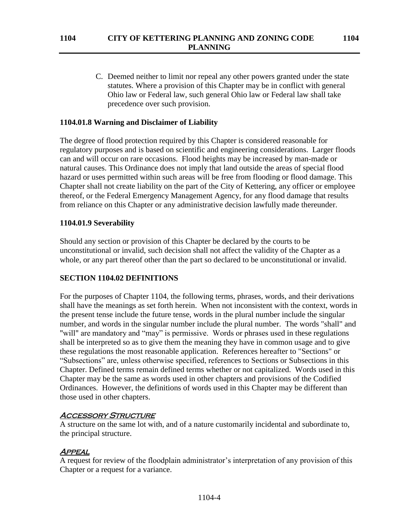C. Deemed neither to limit nor repeal any other powers granted under the state statutes. Where a provision of this Chapter may be in conflict with general Ohio law or Federal law, such general Ohio law or Federal law shall take precedence over such provision.

## **1104.01.8 Warning and Disclaimer of Liability**

The degree of flood protection required by this Chapter is considered reasonable for regulatory purposes and is based on scientific and engineering considerations. Larger floods can and will occur on rare occasions. Flood heights may be increased by man-made or natural causes. This Ordinance does not imply that land outside the areas of special flood hazard or uses permitted within such areas will be free from flooding or flood damage. This Chapter shall not create liability on the part of the City of Kettering, any officer or employee thereof, or the Federal Emergency Management Agency, for any flood damage that results from reliance on this Chapter or any administrative decision lawfully made thereunder.

### **1104.01.9 Severability**

Should any section or provision of this Chapter be declared by the courts to be unconstitutional or invalid, such decision shall not affect the validity of the Chapter as a whole, or any part thereof other than the part so declared to be unconstitutional or invalid.

## **SECTION 1104.02 DEFINITIONS**

For the purposes of Chapter 1104, the following terms, phrases, words, and their derivations shall have the meanings as set forth herein. When not inconsistent with the context, words in the present tense include the future tense, words in the plural number include the singular number, and words in the singular number include the plural number. The words "shall" and "will" are mandatory and "may" is permissive. Words or phrases used in these regulations shall be interpreted so as to give them the meaning they have in common usage and to give these regulations the most reasonable application. References hereafter to "Sections" or "Subsections" are, unless otherwise specified, references to Sections or Subsections in this Chapter. Defined terms remain defined terms whether or not capitalized. Words used in this Chapter may be the same as words used in other chapters and provisions of the Codified Ordinances. However, the definitions of words used in this Chapter may be different than those used in other chapters.

#### **ACCESSORY STRUCTURE**

A structure on the same lot with, and of a nature customarily incidental and subordinate to, the principal structure.

#### **APPEAL**

A request for review of the floodplain administrator's interpretation of any provision of this Chapter or a request for a variance.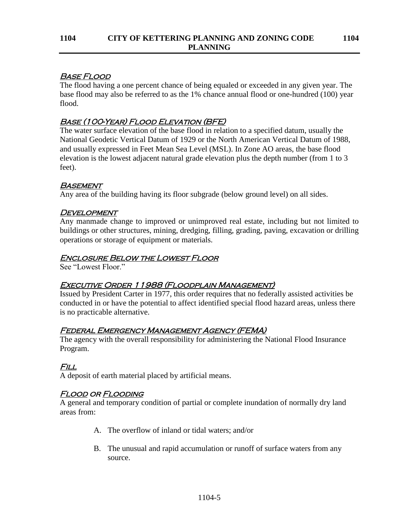## Base Flood

The flood having a one percent chance of being equaled or exceeded in any given year. The base flood may also be referred to as the 1% chance annual flood or one-hundred (100) year flood.

# Base (100-Year) Flood Elevation (BFE)

The water surface elevation of the base flood in relation to a specified datum, usually the National Geodetic Vertical Datum of 1929 or the North American Vertical Datum of 1988, and usually expressed in Feet Mean Sea Level (MSL). In Zone AO areas, the base flood elevation is the lowest adjacent natural grade elevation plus the depth number (from 1 to 3 feet).

## **BASEMENT**

Any area of the building having its floor subgrade (below ground level) on all sides.

## **DEVELOPMENT**

Any manmade change to improved or unimproved real estate, including but not limited to buildings or other structures, mining, dredging, filling, grading, paving, excavation or drilling operations or storage of equipment or materials.

## Enclosure Below the Lowest Floor

See "Lowest Floor."

## Executive Order 11988 (Floodplain Management)

Issued by President Carter in 1977, this order requires that no federally assisted activities be conducted in or have the potential to affect identified special flood hazard areas, unless there is no practicable alternative.

# Federal Emergency Management Agency (FEMA)

The agency with the overall responsibility for administering the National Flood Insurance Program.

# Fill

A deposit of earth material placed by artificial means.

# Flood or Flooding

A general and temporary condition of partial or complete inundation of normally dry land areas from:

- A. The overflow of inland or tidal waters; and/or
- B. The unusual and rapid accumulation or runoff of surface waters from any source.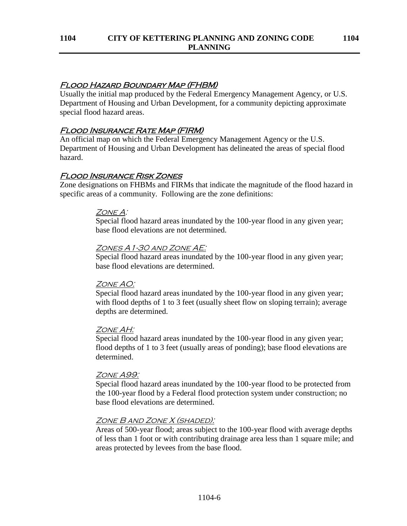## Flood Hazard Boundary Map (FHBM)

Usually the initial map produced by the Federal Emergency Management Agency, or U.S. Department of Housing and Urban Development, for a community depicting approximate special flood hazard areas.

## Flood Insurance Rate Map (FIRM)

An official map on which the Federal Emergency Management Agency or the U.S. Department of Housing and Urban Development has delineated the areas of special flood hazard.

## Flood Insurance Risk Zones

Zone designations on FHBMs and FIRMs that indicate the magnitude of the flood hazard in specific areas of a community. Following are the zone definitions:

### ZONE A:

Special flood hazard areas inundated by the 100-year flood in any given year; base flood elevations are not determined.

### Zones A1-30 and Zone AE:

Special flood hazard areas inundated by the 100-year flood in any given year; base flood elevations are determined.

## ZONE AO:

Special flood hazard areas inundated by the 100-year flood in any given year; with flood depths of 1 to 3 feet (usually sheet flow on sloping terrain); average depths are determined.

### Zone AH:

Special flood hazard areas inundated by the 100-year flood in any given year; flood depths of 1 to 3 feet (usually areas of ponding); base flood elevations are determined.

#### ZONE A99:

Special flood hazard areas inundated by the 100-year flood to be protected from the 100-year flood by a Federal flood protection system under construction; no base flood elevations are determined.

#### Zone B and Zone X (shaded):

Areas of 500-year flood; areas subject to the 100-year flood with average depths of less than 1 foot or with contributing drainage area less than 1 square mile; and areas protected by levees from the base flood.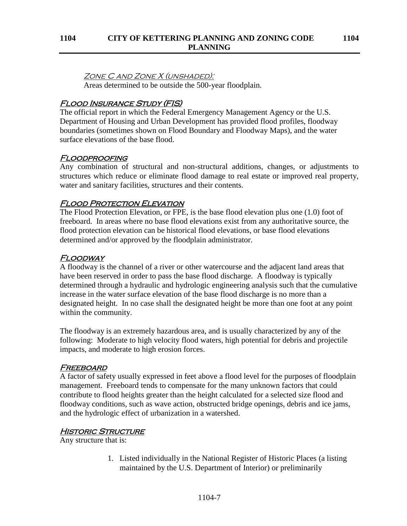#### Zone C and Zone X (unshaded):

Areas determined to be outside the 500-year floodplain.

## Flood Insurance Study (FIS)

The official report in which the Federal Emergency Management Agency or the U.S. Department of Housing and Urban Development has provided flood profiles, floodway boundaries (sometimes shown on Flood Boundary and Floodway Maps), and the water surface elevations of the base flood.

## Floodproofing

Any combination of structural and non-structural additions, changes, or adjustments to structures which reduce or eliminate flood damage to real estate or improved real property, water and sanitary facilities, structures and their contents.

## **FLOOD PROTECTION ELEVATION**

The Flood Protection Elevation, or FPE, is the base flood elevation plus one (1.0) foot of freeboard. In areas where no base flood elevations exist from any authoritative source, the flood protection elevation can be historical flood elevations, or base flood elevations determined and/or approved by the floodplain administrator.

## **FLOODWAY**

A floodway is the channel of a river or other watercourse and the adjacent land areas that have been reserved in order to pass the base flood discharge. A floodway is typically determined through a hydraulic and hydrologic engineering analysis such that the cumulative increase in the water surface elevation of the base flood discharge is no more than a designated height. In no case shall the designated height be more than one foot at any point within the community.

The floodway is an extremely hazardous area, and is usually characterized by any of the following: Moderate to high velocity flood waters, high potential for debris and projectile impacts, and moderate to high erosion forces.

## **FREEBOARD**

A factor of safety usually expressed in feet above a flood level for the purposes of floodplain management. Freeboard tends to compensate for the many unknown factors that could contribute to flood heights greater than the height calculated for a selected size flood and floodway conditions, such as wave action, obstructed bridge openings, debris and ice jams, and the hydrologic effect of urbanization in a watershed.

## **HISTORIC STRUCTURE**

Any structure that is:

1. Listed individually in the National Register of Historic Places (a listing maintained by the U.S. Department of Interior) or preliminarily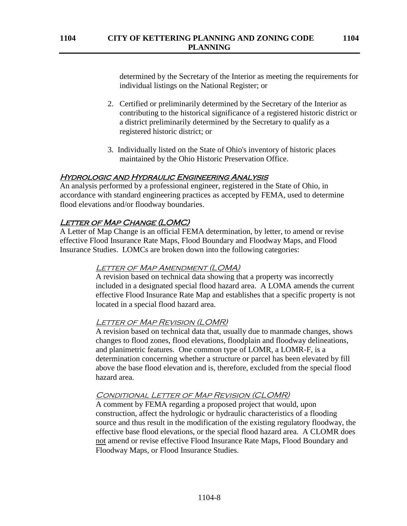determined by the Secretary of the Interior as meeting the requirements for individual listings on the National Register; or

- 2. Certified or preliminarily determined by the Secretary of the Interior as contributing to the historical significance of a registered historic district or a district preliminarily determined by the Secretary to qualify as a registered historic district; or
- 3. Individually listed on the State of Ohio's inventory of historic places maintained by the Ohio Historic Preservation Office.

## Hydrologic and Hydraulic Engineering Analysis

An analysis performed by a professional engineer, registered in the State of Ohio, in accordance with standard engineering practices as accepted by FEMA, used to determine flood elevations and/or floodway boundaries.

### **LETTER OF MAP CHANGE (LOMC)**

A Letter of Map Change is an official FEMA determination, by letter, to amend or revise effective Flood Insurance Rate Maps, Flood Boundary and Floodway Maps, and Flood Insurance Studies. LOMCs are broken down into the following categories:

#### LETTER OF MAP AMENDMENT (LOMA)

A revision based on technical data showing that a property was incorrectly included in a designated special flood hazard area. A LOMA amends the current effective Flood Insurance Rate Map and establishes that a specific property is not located in a special flood hazard area.

#### LETTER OF MAP REVISION (LOMR)

A revision based on technical data that, usually due to manmade changes, shows changes to flood zones, flood elevations, floodplain and floodway delineations, and planimetric features. One common type of LOMR, a LOMR-F, is a determination concerning whether a structure or parcel has been elevated by fill above the base flood elevation and is, therefore, excluded from the special flood hazard area.

#### Conditional Letter of Map Revision (CLOMR)

A comment by FEMA regarding a proposed project that would, upon construction, affect the hydrologic or hydraulic characteristics of a flooding source and thus result in the modification of the existing regulatory floodway, the effective base flood elevations, or the special flood hazard area. A CLOMR does not amend or revise effective Flood Insurance Rate Maps, Flood Boundary and Floodway Maps, or Flood Insurance Studies.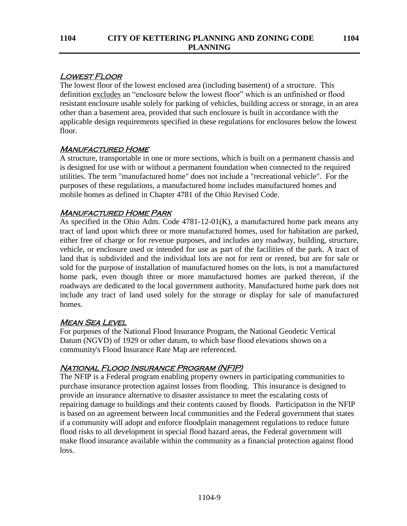# Lowest Floor

The lowest floor of the lowest enclosed area (including basement) of a structure. This definition excludes an "enclosure below the lowest floor" which is an unfinished or flood resistant enclosure usable solely for parking of vehicles, building access or storage, in an area other than a basement area, provided that such enclosure is built in accordance with the applicable design requirements specified in these regulations for enclosures below the lowest floor.

# **MANUFACTURED HOME**

A structure, transportable in one or more sections, which is built on a permanent chassis and is designed for use with or without a permanent foundation when connected to the required utilities. The term "manufactured home" does not include a "recreational vehicle". For the purposes of these regulations, a manufactured home includes manufactured homes and mobile homes as defined in Chapter 4781 of the Ohio Revised Code.

# **MANUFACTURED HOME PARK**

As specified in the Ohio Adm. Code 4781-12-01(K), a manufactured home park means any tract of land upon which three or more manufactured homes, used for habitation are parked, either free of charge or for revenue purposes, and includes any roadway, building, structure, vehicle, or enclosure used or intended for use as part of the facilities of the park. A tract of land that is subdivided and the individual lots are not for rent or rented, but are for sale or sold for the purpose of installation of manufactured homes on the lots, is not a manufactured home park, even though three or more manufactured homes are parked thereon, if the roadways are dedicated to the local government authority. Manufactured home park does not include any tract of land used solely for the storage or display for sale of manufactured homes.

# **MEAN SEA LEVEL**

For purposes of the National Flood Insurance Program, the National Geodetic Vertical Datum (NGVD) of 1929 or other datum, to which base flood elevations shown on a community's Flood Insurance Rate Map are referenced.

# National Flood Insurance Program (NFIP)

The NFIP is a Federal program enabling property owners in participating communities to purchase insurance protection against losses from flooding. This insurance is designed to provide an insurance alternative to disaster assistance to meet the escalating costs of repairing damage to buildings and their contents caused by floods. Participation in the NFIP is based on an agreement between local communities and the Federal government that states if a community will adopt and enforce floodplain management regulations to reduce future flood risks to all development in special flood hazard areas, the Federal government will make flood insurance available within the community as a financial protection against flood loss.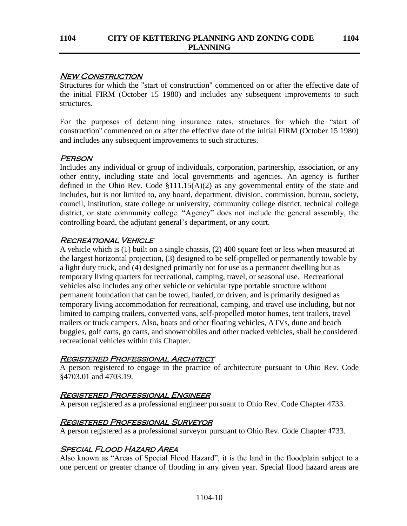#### **NEW CONSTRUCTION**

Structures for which the "start of construction" commenced on or after the effective date of the initial FIRM (October 15 1980) and includes any subsequent improvements to such structures.

For the purposes of determining insurance rates, structures for which the "start of construction'' commenced on or after the effective date of the initial FIRM (October 15 1980) and includes any subsequent improvements to such structures.

### **PERSON**

Includes any individual or group of individuals, corporation, partnership, association, or any other entity, including state and local governments and agencies. An agency is further defined in the Ohio Rev. Code  $$111.15(A)(2)$  as any governmental entity of the state and includes, but is not limited to, any board, department, division, commission, bureau, society, council, institution, state college or university, community college district, technical college district, or state community college. "Agency" does not include the general assembly, the controlling board, the adjutant general's department, or any court.

## RECREATIONAL VEHICLE

A vehicle which is (1) built on a single chassis, (2) 400 square feet or less when measured at the largest horizontal projection, (3) designed to be self-propelled or permanently towable by a light duty truck, and (4) designed primarily not for use as a permanent dwelling but as temporary living quarters for recreational, camping, travel, or seasonal use. Recreational vehicles also includes any other vehicle or vehicular type portable structure without permanent foundation that can be towed, hauled, or driven, and is primarily designed as temporary living accommodation for recreational, camping, and travel use including, but not limited to camping trailers, converted vans, self-propelled motor homes, tent trailers, travel trailers or truck campers. Also, boats and other floating vehicles, ATVs, dune and beach buggies, golf carts, go carts, and snowmobiles and other tracked vehicles, shall be considered recreational vehicles within this Chapter.

## Registered Professional Architect

A person registered to engage in the practice of architecture pursuant to Ohio Rev. Code §4703.01 and 4703.19.

## Registered Professional Engineer

A person registered as a professional engineer pursuant to Ohio Rev. Code Chapter 4733.

## Registered Professional Surveyor

A person registered as a professional surveyor pursuant to Ohio Rev. Code Chapter 4733.

## Special Flood Hazard Area

Also known as "Areas of Special Flood Hazard", it is the land in the floodplain subject to a one percent or greater chance of flooding in any given year. Special flood hazard areas are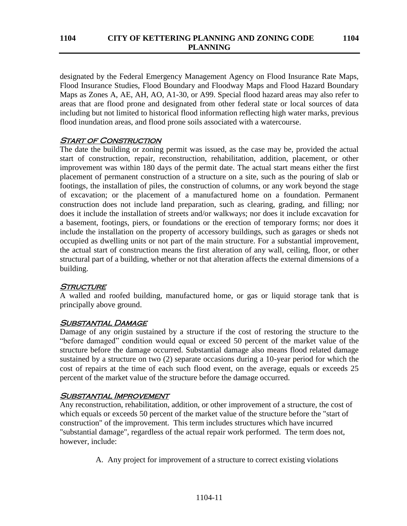designated by the Federal Emergency Management Agency on Flood Insurance Rate Maps, Flood Insurance Studies, Flood Boundary and Floodway Maps and Flood Hazard Boundary Maps as Zones A, AE, AH, AO, A1-30, or A99. Special flood hazard areas may also refer to areas that are flood prone and designated from other federal state or local sources of data including but not limited to historical flood information reflecting high water marks, previous flood inundation areas, and flood prone soils associated with a watercourse.

## **START OF CONSTRUCTION**

The date the building or zoning permit was issued, as the case may be, provided the actual start of construction, repair, reconstruction, rehabilitation, addition, placement, or other improvement was within 180 days of the permit date. The actual start means either the first placement of permanent construction of a structure on a site, such as the pouring of slab or footings, the installation of piles, the construction of columns, or any work beyond the stage of excavation; or the placement of a manufactured home on a foundation. Permanent construction does not include land preparation, such as clearing, grading, and filling; nor does it include the installation of streets and/or walkways; nor does it include excavation for a basement, footings, piers, or foundations or the erection of temporary forms; nor does it include the installation on the property of accessory buildings, such as garages or sheds not occupied as dwelling units or not part of the main structure. For a substantial improvement, the actual start of construction means the first alteration of any wall, ceiling, floor, or other structural part of a building, whether or not that alteration affects the external dimensions of a building.

# **STRUCTURE**

A walled and roofed building, manufactured home, or gas or liquid storage tank that is principally above ground.

## SUBSTANTIAL DAMAGE

Damage of any origin sustained by a structure if the cost of restoring the structure to the "before damaged" condition would equal or exceed 50 percent of the market value of the structure before the damage occurred. Substantial damage also means flood related damage sustained by a structure on two (2) separate occasions during a 10-year period for which the cost of repairs at the time of each such flood event, on the average, equals or exceeds 25 percent of the market value of the structure before the damage occurred.

# SUBSTANTIAL IMPROVEMENT

Any reconstruction, rehabilitation, addition, or other improvement of a structure, the cost of which equals or exceeds 50 percent of the market value of the structure before the "start of construction" of the improvement. This term includes structures which have incurred "substantial damage", regardless of the actual repair work performed. The term does not, however, include:

A. Any project for improvement of a structure to correct existing violations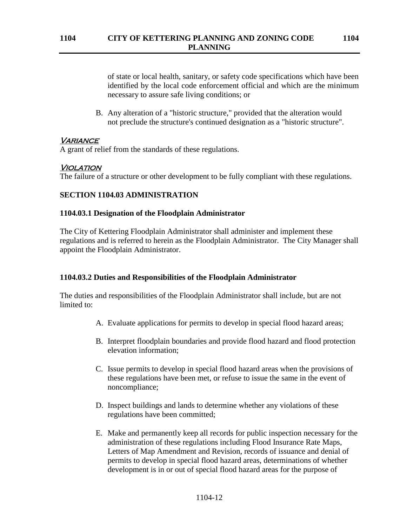of state or local health, sanitary, or safety code specifications which have been identified by the local code enforcement official and which are the minimum necessary to assure safe living conditions; or

B. Any alteration of a "historic structure," provided that the alteration would not preclude the structure's continued designation as a "historic structure".

## **VARIANCE**

A grant of relief from the standards of these regulations.

## Violation

The failure of a structure or other development to be fully compliant with these regulations.

## **SECTION 1104.03 ADMINISTRATION**

#### **1104.03.1 Designation of the Floodplain Administrator**

The City of Kettering Floodplain Administrator shall administer and implement these regulations and is referred to herein as the Floodplain Administrator. The City Manager shall appoint the Floodplain Administrator.

## **1104.03.2 Duties and Responsibilities of the Floodplain Administrator**

The duties and responsibilities of the Floodplain Administrator shall include, but are not limited to:

- A. Evaluate applications for permits to develop in special flood hazard areas;
- B. Interpret floodplain boundaries and provide flood hazard and flood protection elevation information;
- C. Issue permits to develop in special flood hazard areas when the provisions of these regulations have been met, or refuse to issue the same in the event of noncompliance;
- D. Inspect buildings and lands to determine whether any violations of these regulations have been committed;
- E. Make and permanently keep all records for public inspection necessary for the administration of these regulations including Flood Insurance Rate Maps, Letters of Map Amendment and Revision, records of issuance and denial of permits to develop in special flood hazard areas, determinations of whether development is in or out of special flood hazard areas for the purpose of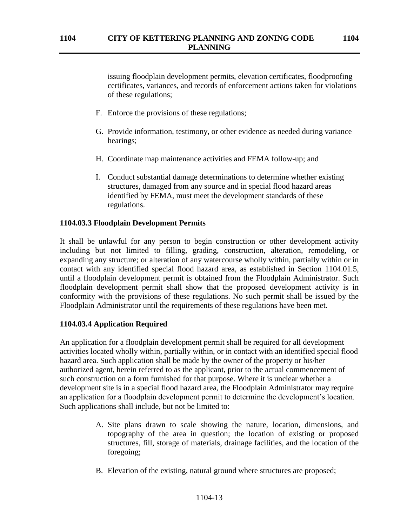issuing floodplain development permits, elevation certificates, floodproofing certificates, variances, and records of enforcement actions taken for violations of these regulations;

- F. Enforce the provisions of these regulations;
- G. Provide information, testimony, or other evidence as needed during variance hearings;
- H. Coordinate map maintenance activities and FEMA follow-up; and
- I. Conduct substantial damage determinations to determine whether existing structures, damaged from any source and in special flood hazard areas identified by FEMA, must meet the development standards of these regulations.

## **1104.03.3 Floodplain Development Permits**

It shall be unlawful for any person to begin construction or other development activity including but not limited to filling, grading, construction, alteration, remodeling, or expanding any structure; or alteration of any watercourse wholly within, partially within or in contact with any identified special flood hazard area, as established in Section 1104.01.5, until a floodplain development permit is obtained from the Floodplain Administrator. Such floodplain development permit shall show that the proposed development activity is in conformity with the provisions of these regulations. No such permit shall be issued by the Floodplain Administrator until the requirements of these regulations have been met.

#### **1104.03.4 Application Required**

An application for a floodplain development permit shall be required for all development activities located wholly within, partially within, or in contact with an identified special flood hazard area. Such application shall be made by the owner of the property or his/her authorized agent, herein referred to as the applicant, prior to the actual commencement of such construction on a form furnished for that purpose. Where it is unclear whether a development site is in a special flood hazard area, the Floodplain Administrator may require an application for a floodplain development permit to determine the development's location. Such applications shall include, but not be limited to:

- A. Site plans drawn to scale showing the nature, location, dimensions, and topography of the area in question; the location of existing or proposed structures, fill, storage of materials, drainage facilities, and the location of the foregoing;
- B. Elevation of the existing, natural ground where structures are proposed;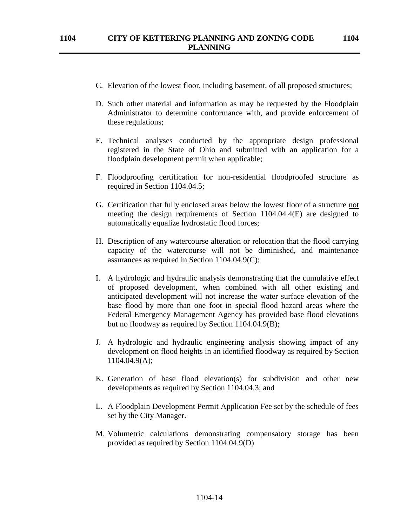- C. Elevation of the lowest floor, including basement, of all proposed structures;
- D. Such other material and information as may be requested by the Floodplain Administrator to determine conformance with, and provide enforcement of these regulations;
- E. Technical analyses conducted by the appropriate design professional registered in the State of Ohio and submitted with an application for a floodplain development permit when applicable;
- F. Floodproofing certification for non-residential floodproofed structure as required in Section 1104.04.5;
- G. Certification that fully enclosed areas below the lowest floor of a structure not meeting the design requirements of Section 1104.04.4(E) are designed to automatically equalize hydrostatic flood forces;
- H. Description of any watercourse alteration or relocation that the flood carrying capacity of the watercourse will not be diminished, and maintenance assurances as required in Section 1104.04.9(C);
- I. A hydrologic and hydraulic analysis demonstrating that the cumulative effect of proposed development, when combined with all other existing and anticipated development will not increase the water surface elevation of the base flood by more than one foot in special flood hazard areas where the Federal Emergency Management Agency has provided base flood elevations but no floodway as required by Section 1104.04.9(B);
- J. A hydrologic and hydraulic engineering analysis showing impact of any development on flood heights in an identified floodway as required by Section 1104.04.9(A);
- K. Generation of base flood elevation(s) for subdivision and other new developments as required by Section 1104.04.3; and
- L. A Floodplain Development Permit Application Fee set by the schedule of fees set by the City Manager.
- M. Volumetric calculations demonstrating compensatory storage has been provided as required by Section 1104.04.9(D)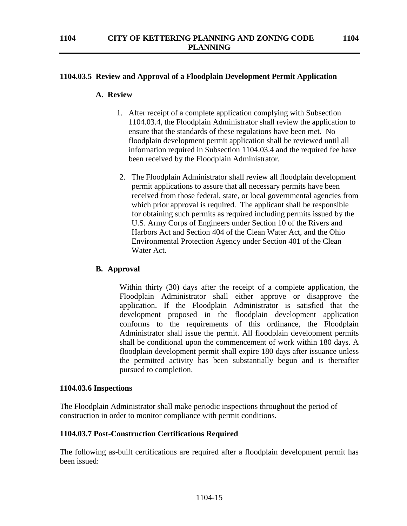## **1104.03.5 Review and Approval of a Floodplain Development Permit Application**

#### **A. Review**

- 1. After receipt of a complete application complying with Subsection 1104.03.4, the Floodplain Administrator shall review the application to ensure that the standards of these regulations have been met. No floodplain development permit application shall be reviewed until all information required in Subsection 1104.03.4 and the required fee have been received by the Floodplain Administrator.
- 2. The Floodplain Administrator shall review all floodplain development permit applications to assure that all necessary permits have been received from those federal, state, or local governmental agencies from which prior approval is required. The applicant shall be responsible for obtaining such permits as required including permits issued by the U.S. Army Corps of Engineers under Section 10 of the Rivers and Harbors Act and Section 404 of the Clean Water Act, and the Ohio Environmental Protection Agency under Section 401 of the Clean Water Act.

#### **B. Approval**

Within thirty (30) days after the receipt of a complete application, the Floodplain Administrator shall either approve or disapprove the application. If the Floodplain Administrator is satisfied that the development proposed in the floodplain development application conforms to the requirements of this ordinance, the Floodplain Administrator shall issue the permit. All floodplain development permits shall be conditional upon the commencement of work within 180 days. A floodplain development permit shall expire 180 days after issuance unless the permitted activity has been substantially begun and is thereafter pursued to completion.

#### **1104.03.6 Inspections**

The Floodplain Administrator shall make periodic inspections throughout the period of construction in order to monitor compliance with permit conditions.

#### **1104.03.7 Post-Construction Certifications Required**

The following as-built certifications are required after a floodplain development permit has been issued: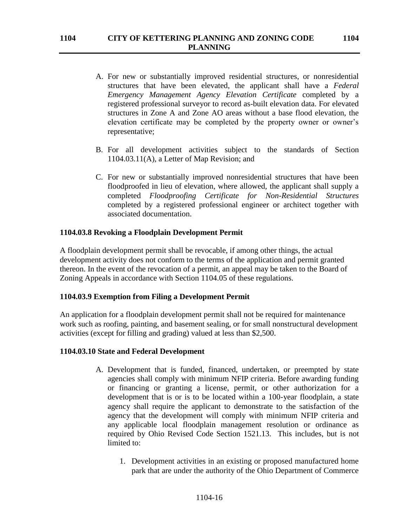- A. For new or substantially improved residential structures, or nonresidential structures that have been elevated, the applicant shall have a *Federal Emergency Management Agency Elevation Certificate* completed by a registered professional surveyor to record as-built elevation data. For elevated structures in Zone A and Zone AO areas without a base flood elevation, the elevation certificate may be completed by the property owner or owner's representative;
- B. For all development activities subject to the standards of Section 1104.03.11(A), a Letter of Map Revision; and
- C. For new or substantially improved nonresidential structures that have been floodproofed in lieu of elevation, where allowed, the applicant shall supply a completed *Floodproofing Certificate for Non-Residential Structures* completed by a registered professional engineer or architect together with associated documentation.

### **1104.03.8 Revoking a Floodplain Development Permit**

A floodplain development permit shall be revocable, if among other things, the actual development activity does not conform to the terms of the application and permit granted thereon. In the event of the revocation of a permit, an appeal may be taken to the Board of Zoning Appeals in accordance with Section 1104.05 of these regulations.

#### **1104.03.9 Exemption from Filing a Development Permit**

An application for a floodplain development permit shall not be required for maintenance work such as roofing, painting, and basement sealing, or for small nonstructural development activities (except for filling and grading) valued at less than \$2,500.

#### **1104.03.10 State and Federal Development**

- A. Development that is funded, financed, undertaken, or preempted by state agencies shall comply with minimum NFIP criteria. Before awarding funding or financing or granting a license, permit, or other authorization for a development that is or is to be located within a 100-year floodplain, a state agency shall require the applicant to demonstrate to the satisfaction of the agency that the development will comply with minimum NFIP criteria and any applicable local floodplain management resolution or ordinance as required by Ohio Revised Code Section 1521.13. This includes, but is not limited to:
	- 1. Development activities in an existing or proposed manufactured home park that are under the authority of the Ohio Department of Commerce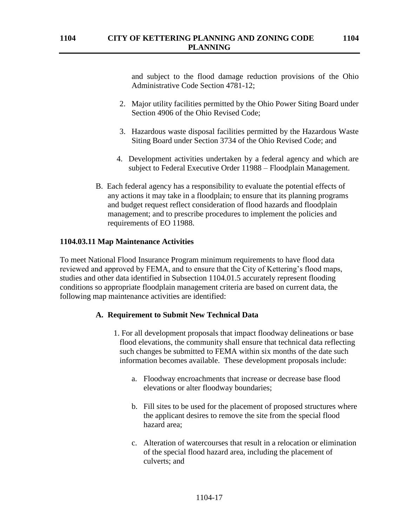**PLANNING**

and subject to the flood damage reduction provisions of the Ohio Administrative Code Section 4781-12;

- 2. Major utility facilities permitted by the Ohio Power Siting Board under Section 4906 of the Ohio Revised Code;
- 3. Hazardous waste disposal facilities permitted by the Hazardous Waste Siting Board under Section 3734 of the Ohio Revised Code; and
- 4. Development activities undertaken by a federal agency and which are subject to Federal Executive Order 11988 – Floodplain Management.
- B. Each federal agency has a responsibility to evaluate the potential effects of any actions it may take in a floodplain; to ensure that its planning programs and budget request reflect consideration of flood hazards and floodplain management; and to prescribe procedures to implement the policies and requirements of EO 11988.

#### **1104.03.11 Map Maintenance Activities**

To meet National Flood Insurance Program minimum requirements to have flood data reviewed and approved by FEMA, and to ensure that the City of Kettering's flood maps, studies and other data identified in Subsection 1104.01.5 accurately represent flooding conditions so appropriate floodplain management criteria are based on current data, the following map maintenance activities are identified:

#### **A. Requirement to Submit New Technical Data**

- 1. For all development proposals that impact floodway delineations or base flood elevations, the community shall ensure that technical data reflecting such changes be submitted to FEMA within six months of the date such information becomes available. These development proposals include:
	- a. Floodway encroachments that increase or decrease base flood elevations or alter floodway boundaries;
	- b. Fill sites to be used for the placement of proposed structures where the applicant desires to remove the site from the special flood hazard area;
	- c. Alteration of watercourses that result in a relocation or elimination of the special flood hazard area, including the placement of culverts; and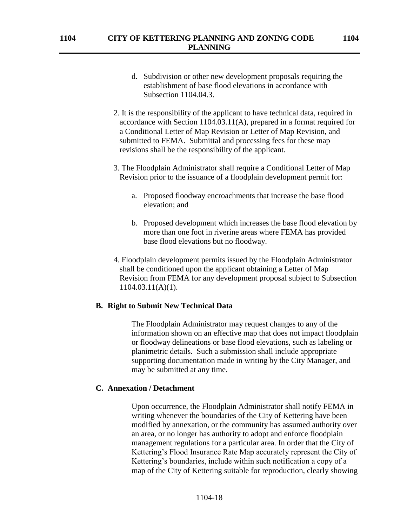- d. Subdivision or other new development proposals requiring the establishment of base flood elevations in accordance with Subsection 1104.04.3.
- 2. It is the responsibility of the applicant to have technical data, required in accordance with Section 1104.03.11(A), prepared in a format required for a Conditional Letter of Map Revision or Letter of Map Revision, and submitted to FEMA. Submittal and processing fees for these map revisions shall be the responsibility of the applicant.
- 3. The Floodplain Administrator shall require a Conditional Letter of Map Revision prior to the issuance of a floodplain development permit for:
	- a. Proposed floodway encroachments that increase the base flood elevation; and
	- b. Proposed development which increases the base flood elevation by more than one foot in riverine areas where FEMA has provided base flood elevations but no floodway.
- 4. Floodplain development permits issued by the Floodplain Administrator shall be conditioned upon the applicant obtaining a Letter of Map Revision from FEMA for any development proposal subject to Subsection 1104.03.11(A)(1).

#### **B. Right to Submit New Technical Data**

The Floodplain Administrator may request changes to any of the information shown on an effective map that does not impact floodplain or floodway delineations or base flood elevations, such as labeling or planimetric details. Such a submission shall include appropriate supporting documentation made in writing by the City Manager, and may be submitted at any time.

#### **C. Annexation / Detachment**

Upon occurrence, the Floodplain Administrator shall notify FEMA in writing whenever the boundaries of the City of Kettering have been modified by annexation, or the community has assumed authority over an area, or no longer has authority to adopt and enforce floodplain management regulations for a particular area. In order that the City of Kettering's Flood Insurance Rate Map accurately represent the City of Kettering's boundaries, include within such notification a copy of a map of the City of Kettering suitable for reproduction, clearly showing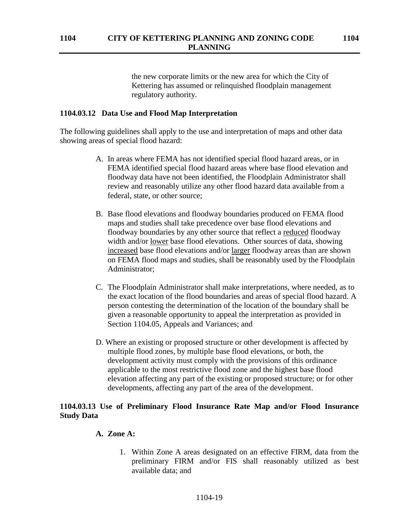the new corporate limits or the new area for which the City of Kettering has assumed or relinquished floodplain management regulatory authority.

### **1104.03.12 Data Use and Flood Map Interpretation**

The following guidelines shall apply to the use and interpretation of maps and other data showing areas of special flood hazard:

- A. In areas where FEMA has not identified special flood hazard areas, or in FEMA identified special flood hazard areas where base flood elevation and floodway data have not been identified, the Floodplain Administrator shall review and reasonably utilize any other flood hazard data available from a federal, state, or other source;
- B. Base flood elevations and floodway boundaries produced on FEMA flood maps and studies shall take precedence over base flood elevations and floodway boundaries by any other source that reflect a reduced floodway width and/or lower base flood elevations. Other sources of data, showing increased base flood elevations and/or larger floodway areas than are shown on FEMA flood maps and studies, shall be reasonably used by the Floodplain Administrator;
- C. The Floodplain Administrator shall make interpretations, where needed, as to the exact location of the flood boundaries and areas of special flood hazard. A person contesting the determination of the location of the boundary shall be given a reasonable opportunity to appeal the interpretation as provided in Section 1104.05, Appeals and Variances; and
- D. Where an existing or proposed structure or other development is affected by multiple flood zones, by multiple base flood elevations, or both, the development activity must comply with the provisions of this ordinance applicable to the most restrictive flood zone and the highest base flood elevation affecting any part of the existing or proposed structure; or for other developments, affecting any part of the area of the development.

## **1104.03.13 Use of Preliminary Flood Insurance Rate Map and/or Flood Insurance Study Data**

#### **A. Zone A:**

1. Within Zone A areas designated on an effective FIRM, data from the preliminary FIRM and/or FIS shall reasonably utilized as best available data; and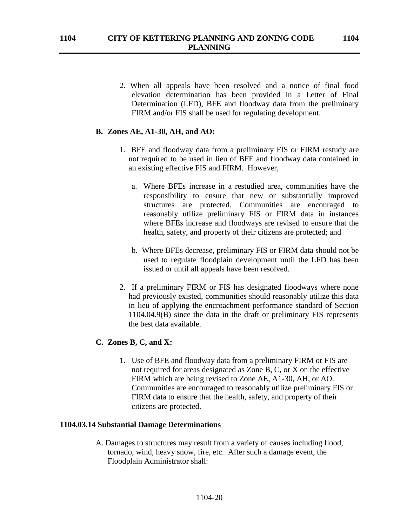2. When all appeals have been resolved and a notice of final food elevation determination has been provided in a Letter of Final Determination (LFD), BFE and floodway data from the preliminary FIRM and/or FIS shall be used for regulating development.

#### **B. Zones AE, A1-30, AH, and AO:**

- 1. BFE and floodway data from a preliminary FIS or FIRM restudy are not required to be used in lieu of BFE and floodway data contained in an existing effective FIS and FIRM. However,
	- a. Where BFEs increase in a restudied area, communities have the responsibility to ensure that new or substantially improved structures are protected. Communities are encouraged to reasonably utilize preliminary FIS or FIRM data in instances where BFEs increase and floodways are revised to ensure that the health, safety, and property of their citizens are protected; and
	- b. Where BFEs decrease, preliminary FIS or FIRM data should not be used to regulate floodplain development until the LFD has been issued or until all appeals have been resolved.
- 2. If a preliminary FIRM or FIS has designated floodways where none had previously existed, communities should reasonably utilize this data in lieu of applying the encroachment performance standard of Section 1104.04.9(B) since the data in the draft or preliminary FIS represents the best data available.

#### **C. Zones B, C, and X:**

1. Use of BFE and floodway data from a preliminary FIRM or FIS are not required for areas designated as Zone B, C, or X on the effective FIRM which are being revised to Zone AE, A1-30, AH, or AO. Communities are encouraged to reasonably utilize preliminary FIS or FIRM data to ensure that the health, safety, and property of their citizens are protected.

#### **1104.03.14 Substantial Damage Determinations**

A. Damages to structures may result from a variety of causes including flood, tornado, wind, heavy snow, fire, etc. After such a damage event, the Floodplain Administrator shall: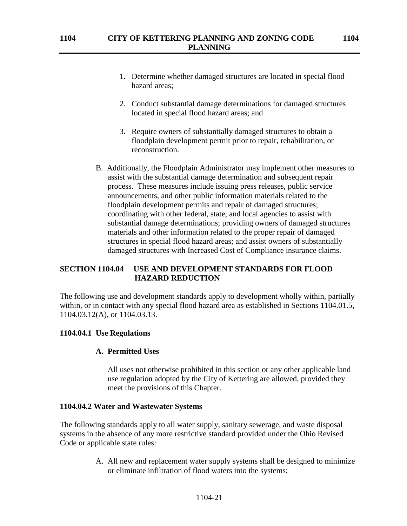- 1. Determine whether damaged structures are located in special flood hazard areas;
- 2. Conduct substantial damage determinations for damaged structures located in special flood hazard areas; and
- 3. Require owners of substantially damaged structures to obtain a floodplain development permit prior to repair, rehabilitation, or reconstruction.
- B. Additionally, the Floodplain Administrator may implement other measures to assist with the substantial damage determination and subsequent repair process. These measures include issuing press releases, public service announcements, and other public information materials related to the floodplain development permits and repair of damaged structures; coordinating with other federal, state, and local agencies to assist with substantial damage determinations; providing owners of damaged structures materials and other information related to the proper repair of damaged structures in special flood hazard areas; and assist owners of substantially damaged structures with Increased Cost of Compliance insurance claims.

# **SECTION 1104.04 USE AND DEVELOPMENT STANDARDS FOR FLOOD HAZARD REDUCTION**

The following use and development standards apply to development wholly within, partially within, or in contact with any special flood hazard area as established in Sections 1104.01.5, 1104.03.12(A), or 1104.03.13.

## **1104.04.1 Use Regulations**

## **A. Permitted Uses**

All uses not otherwise prohibited in this section or any other applicable land use regulation adopted by the City of Kettering are allowed, provided they meet the provisions of this Chapter.

#### **1104.04.2 Water and Wastewater Systems**

The following standards apply to all water supply, sanitary sewerage, and waste disposal systems in the absence of any more restrictive standard provided under the Ohio Revised Code or applicable state rules:

> A. All new and replacement water supply systems shall be designed to minimize or eliminate infiltration of flood waters into the systems;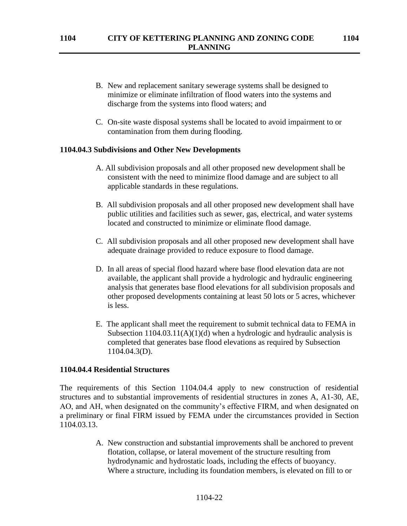- B. New and replacement sanitary sewerage systems shall be designed to minimize or eliminate infiltration of flood waters into the systems and discharge from the systems into flood waters; and
- C. On-site waste disposal systems shall be located to avoid impairment to or contamination from them during flooding.

#### **1104.04.3 Subdivisions and Other New Developments**

- A. All subdivision proposals and all other proposed new development shall be consistent with the need to minimize flood damage and are subject to all applicable standards in these regulations.
- B. All subdivision proposals and all other proposed new development shall have public utilities and facilities such as sewer, gas, electrical, and water systems located and constructed to minimize or eliminate flood damage.
- C. All subdivision proposals and all other proposed new development shall have adequate drainage provided to reduce exposure to flood damage.
- D. In all areas of special flood hazard where base flood elevation data are not available, the applicant shall provide a hydrologic and hydraulic engineering analysis that generates base flood elevations for all subdivision proposals and other proposed developments containing at least 50 lots or 5 acres, whichever is less.
- E. The applicant shall meet the requirement to submit technical data to FEMA in Subsection  $1104.03.11(A)(1)(d)$  when a hydrologic and hydraulic analysis is completed that generates base flood elevations as required by Subsection 1104.04.3(D).

#### **1104.04.4 Residential Structures**

The requirements of this Section 1104.04.4 apply to new construction of residential structures and to substantial improvements of residential structures in zones A, A1-30, AE, AO, and AH, when designated on the community's effective FIRM, and when designated on a preliminary or final FIRM issued by FEMA under the circumstances provided in Section 1104.03.13.

> A. New construction and substantial improvements shall be anchored to prevent flotation, collapse, or lateral movement of the structure resulting from hydrodynamic and hydrostatic loads, including the effects of buoyancy. Where a structure, including its foundation members, is elevated on fill to or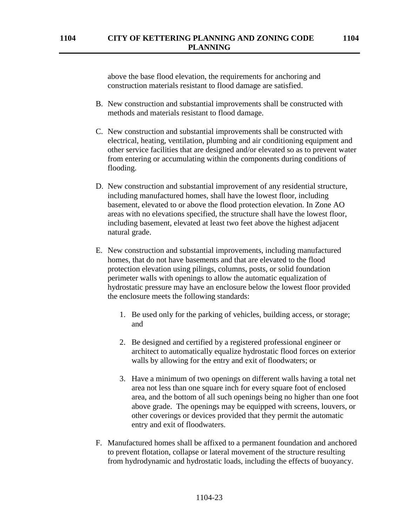above the base flood elevation, the requirements for anchoring and construction materials resistant to flood damage are satisfied.

- B. New construction and substantial improvements shall be constructed with methods and materials resistant to flood damage.
- C. New construction and substantial improvements shall be constructed with electrical, heating, ventilation, plumbing and air conditioning equipment and other service facilities that are designed and/or elevated so as to prevent water from entering or accumulating within the components during conditions of flooding.
- D. New construction and substantial improvement of any residential structure, including manufactured homes, shall have the lowest floor, including basement, elevated to or above the flood protection elevation. In Zone AO areas with no elevations specified, the structure shall have the lowest floor, including basement, elevated at least two feet above the highest adjacent natural grade.
- E. New construction and substantial improvements, including manufactured homes, that do not have basements and that are elevated to the flood protection elevation using pilings, columns, posts, or solid foundation perimeter walls with openings to allow the automatic equalization of hydrostatic pressure may have an enclosure below the lowest floor provided the enclosure meets the following standards:
	- 1. Be used only for the parking of vehicles, building access, or storage; and
	- 2. Be designed and certified by a registered professional engineer or architect to automatically equalize hydrostatic flood forces on exterior walls by allowing for the entry and exit of floodwaters; or
	- 3. Have a minimum of two openings on different walls having a total net area not less than one square inch for every square foot of enclosed area, and the bottom of all such openings being no higher than one foot above grade. The openings may be equipped with screens, louvers, or other coverings or devices provided that they permit the automatic entry and exit of floodwaters.
- F. Manufactured homes shall be affixed to a permanent foundation and anchored to prevent flotation, collapse or lateral movement of the structure resulting from hydrodynamic and hydrostatic loads, including the effects of buoyancy.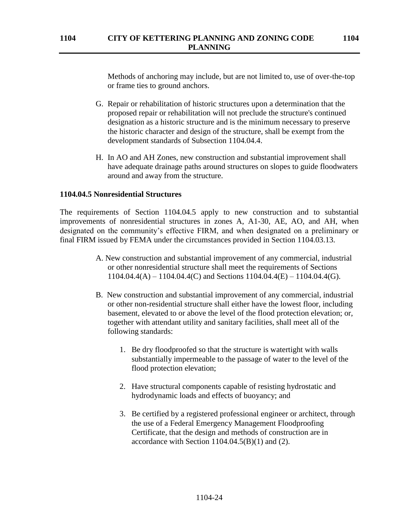Methods of anchoring may include, but are not limited to, use of over-the-top or frame ties to ground anchors.

- G. Repair or rehabilitation of historic structures upon a determination that the proposed repair or rehabilitation will not preclude the structure's continued designation as a historic structure and is the minimum necessary to preserve the historic character and design of the structure, shall be exempt from the development standards of Subsection 1104.04.4.
- H. In AO and AH Zones, new construction and substantial improvement shall have adequate drainage paths around structures on slopes to guide floodwaters around and away from the structure.

#### **1104.04.5 Nonresidential Structures**

The requirements of Section 1104.04.5 apply to new construction and to substantial improvements of nonresidential structures in zones A, A1-30, AE, AO, and AH, when designated on the community's effective FIRM, and when designated on a preliminary or final FIRM issued by FEMA under the circumstances provided in Section 1104.03.13.

- A. New construction and substantial improvement of any commercial, industrial or other nonresidential structure shall meet the requirements of Sections 1104.04.4(A) – 1104.04.4(C) and Sections 1104.04.4(E) – 1104.04.4(G).
- B. New construction and substantial improvement of any commercial, industrial or other non-residential structure shall either have the lowest floor, including basement, elevated to or above the level of the flood protection elevation; or, together with attendant utility and sanitary facilities, shall meet all of the following standards:
	- 1. Be dry floodproofed so that the structure is watertight with walls substantially impermeable to the passage of water to the level of the flood protection elevation;
	- 2. Have structural components capable of resisting hydrostatic and hydrodynamic loads and effects of buoyancy; and
	- 3. Be certified by a registered professional engineer or architect, through the use of a Federal Emergency Management Floodproofing Certificate*,* that the design and methods of construction are in accordance with Section  $1104.04.5(B)(1)$  and (2).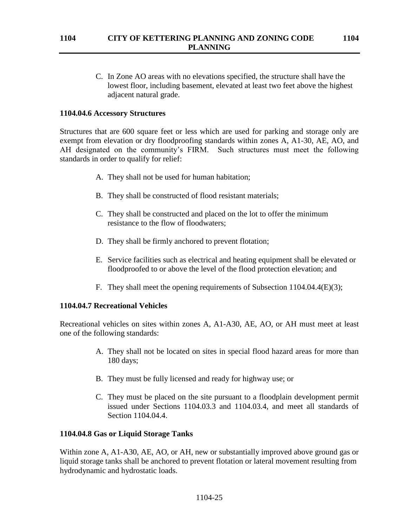C. In Zone AO areas with no elevations specified, the structure shall have the lowest floor, including basement, elevated at least two feet above the highest adjacent natural grade.

### **1104.04.6 Accessory Structures**

Structures that are 600 square feet or less which are used for parking and storage only are exempt from elevation or dry floodproofing standards within zones A, A1-30, AE, AO, and AH designated on the community's FIRM. Such structures must meet the following standards in order to qualify for relief:

- A. They shall not be used for human habitation;
- B. They shall be constructed of flood resistant materials;
- C. They shall be constructed and placed on the lot to offer the minimum resistance to the flow of floodwaters;
- D. They shall be firmly anchored to prevent flotation;
- E. Service facilities such as electrical and heating equipment shall be elevated or floodproofed to or above the level of the flood protection elevation; and
- F. They shall meet the opening requirements of Subsection 1104.04.4(E)(3);

#### **1104.04.7 Recreational Vehicles**

Recreational vehicles on sites within zones A, A1-A30, AE, AO, or AH must meet at least one of the following standards:

- A. They shall not be located on sites in special flood hazard areas for more than 180 days;
- B. They must be fully licensed and ready for highway use; or
- C. They must be placed on the site pursuant to a floodplain development permit issued under Sections 1104.03.3 and 1104.03.4, and meet all standards of Section 1104.04.4.

#### **1104.04.8 Gas or Liquid Storage Tanks**

Within zone A, A1-A30, AE, AO, or AH, new or substantially improved above ground gas or liquid storage tanks shall be anchored to prevent flotation or lateral movement resulting from hydrodynamic and hydrostatic loads.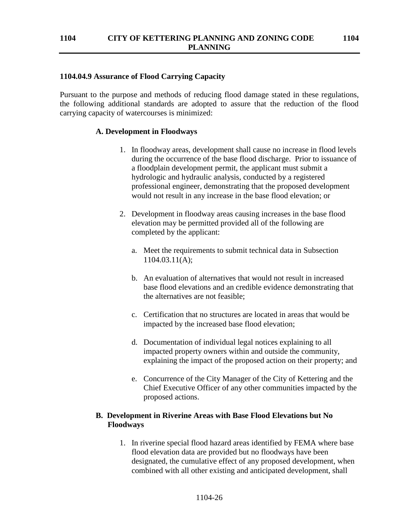### **1104.04.9 Assurance of Flood Carrying Capacity**

Pursuant to the purpose and methods of reducing flood damage stated in these regulations, the following additional standards are adopted to assure that the reduction of the flood carrying capacity of watercourses is minimized:

### **A. Development in Floodways**

- 1. In floodway areas, development shall cause no increase in flood levels during the occurrence of the base flood discharge. Prior to issuance of a floodplain development permit, the applicant must submit a hydrologic and hydraulic analysis, conducted by a registered professional engineer, demonstrating that the proposed development would not result in any increase in the base flood elevation; or
- 2. Development in floodway areas causing increases in the base flood elevation may be permitted provided all of the following are completed by the applicant:
	- a. Meet the requirements to submit technical data in Subsection 1104.03.11(A);
	- b. An evaluation of alternatives that would not result in increased base flood elevations and an credible evidence demonstrating that the alternatives are not feasible;
	- c. Certification that no structures are located in areas that would be impacted by the increased base flood elevation;
	- d. Documentation of individual legal notices explaining to all impacted property owners within and outside the community, explaining the impact of the proposed action on their property; and
	- e. Concurrence of the City Manager of the City of Kettering and the Chief Executive Officer of any other communities impacted by the proposed actions.

## **B. Development in Riverine Areas with Base Flood Elevations but No Floodways**

1. In riverine special flood hazard areas identified by FEMA where base flood elevation data are provided but no floodways have been designated, the cumulative effect of any proposed development, when combined with all other existing and anticipated development, shall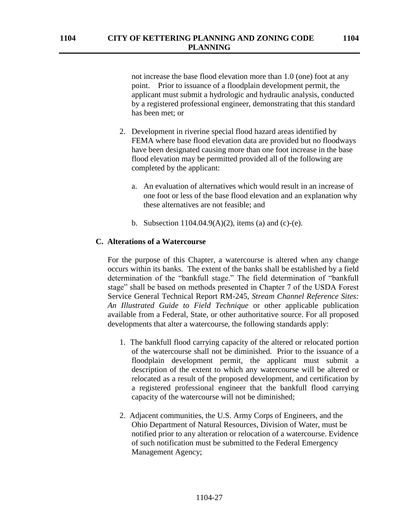not increase the base flood elevation more than 1.0 (one) foot at any point. Prior to issuance of a floodplain development permit, the applicant must submit a hydrologic and hydraulic analysis, conducted by a registered professional engineer, demonstrating that this standard has been met; or

- 2. Development in riverine special flood hazard areas identified by FEMA where base flood elevation data are provided but no floodways have been designated causing more than one foot increase in the base flood elevation may be permitted provided all of the following are completed by the applicant:
	- a. An evaluation of alternatives which would result in an increase of one foot or less of the base flood elevation and an explanation why these alternatives are not feasible; and
	- b. Subsection  $1104.04.9(A)(2)$ , items (a) and (c)-(e).

### **C. Alterations of a Watercourse**

For the purpose of this Chapter, a watercourse is altered when any change occurs within its banks. The extent of the banks shall be established by a field determination of the "bankfull stage." The field determination of "bankfull stage" shall be based on methods presented in Chapter 7 of the USDA Forest Service General Technical Report RM-245, *Stream Channel Reference Sites: An Illustrated Guide to Field Technique* or other applicable publication available from a Federal, State, or other authoritative source. For all proposed developments that alter a watercourse, the following standards apply:

- 1. The bankfull flood carrying capacity of the altered or relocated portion of the watercourse shall not be diminished. Prior to the issuance of a floodplain development permit, the applicant must submit a description of the extent to which any watercourse will be altered or relocated as a result of the proposed development, and certification by a registered professional engineer that the bankfull flood carrying capacity of the watercourse will not be diminished;
- 2. Adjacent communities, the U.S. Army Corps of Engineers, and the Ohio Department of Natural Resources, Division of Water, must be notified prior to any alteration or relocation of a watercourse. Evidence of such notification must be submitted to the Federal Emergency Management Agency;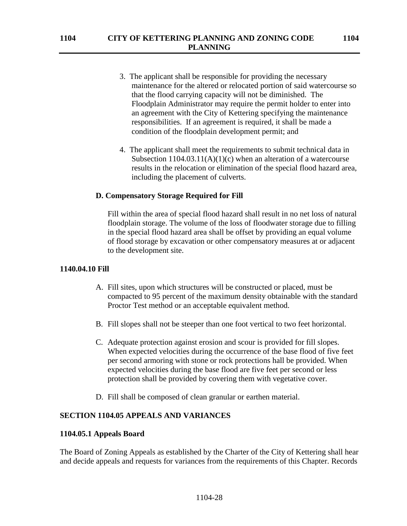- 3. The applicant shall be responsible for providing the necessary maintenance for the altered or relocated portion of said watercourse so that the flood carrying capacity will not be diminished. The Floodplain Administrator may require the permit holder to enter into an agreement with the City of Kettering specifying the maintenance responsibilities. If an agreement is required, it shall be made a condition of the floodplain development permit; and
- 4. The applicant shall meet the requirements to submit technical data in Subsection  $1104.03.11(A)(1)(c)$  when an alteration of a watercourse results in the relocation or elimination of the special flood hazard area, including the placement of culverts.

### **D. Compensatory Storage Required for Fill**

Fill within the area of special flood hazard shall result in no net loss of natural floodplain storage. The volume of the loss of floodwater storage due to filling in the special flood hazard area shall be offset by providing an equal volume of flood storage by excavation or other compensatory measures at or adjacent to the development site.

#### **1140.04.10 Fill**

- A. Fill sites, upon which structures will be constructed or placed, must be compacted to 95 percent of the maximum density obtainable with the standard Proctor Test method or an acceptable equivalent method.
- B. Fill slopes shall not be steeper than one foot vertical to two feet horizontal.
- C. Adequate protection against erosion and scour is provided for fill slopes. When expected velocities during the occurrence of the base flood of five feet per second armoring with stone or rock protections hall be provided. When expected velocities during the base flood are five feet per second or less protection shall be provided by covering them with vegetative cover.
- D. Fill shall be composed of clean granular or earthen material.

#### **SECTION 1104.05 APPEALS AND VARIANCES**

#### **1104.05.1 Appeals Board**

The Board of Zoning Appeals as established by the Charter of the City of Kettering shall hear and decide appeals and requests for variances from the requirements of this Chapter. Records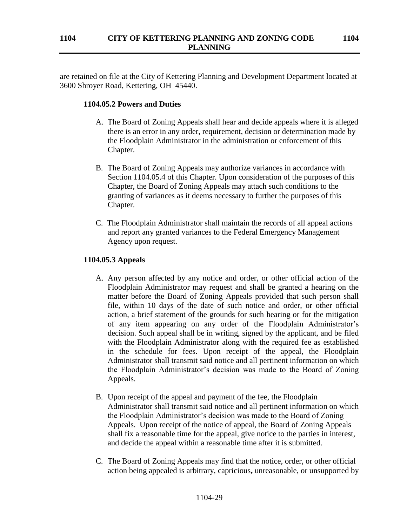are retained on file at the City of Kettering Planning and Development Department located at 3600 Shroyer Road, Kettering, OH 45440.

### **1104.05.2 Powers and Duties**

- A. The Board of Zoning Appeals shall hear and decide appeals where it is alleged there is an error in any order, requirement, decision or determination made by the Floodplain Administrator in the administration or enforcement of this Chapter.
- B. The Board of Zoning Appeals may authorize variances in accordance with Section 1104.05.4 of this Chapter. Upon consideration of the purposes of this Chapter, the Board of Zoning Appeals may attach such conditions to the granting of variances as it deems necessary to further the purposes of this Chapter.
- C. The Floodplain Administrator shall maintain the records of all appeal actions and report any granted variances to the Federal Emergency Management Agency upon request.

### **1104.05.3 Appeals**

- A. Any person affected by any notice and order, or other official action of the Floodplain Administrator may request and shall be granted a hearing on the matter before the Board of Zoning Appeals provided that such person shall file, within 10 days of the date of such notice and order, or other official action, a brief statement of the grounds for such hearing or for the mitigation of any item appearing on any order of the Floodplain Administrator's decision. Such appeal shall be in writing, signed by the applicant, and be filed with the Floodplain Administrator along with the required fee as established in the schedule for fees. Upon receipt of the appeal, the Floodplain Administrator shall transmit said notice and all pertinent information on which the Floodplain Administrator's decision was made to the Board of Zoning Appeals.
- B. Upon receipt of the appeal and payment of the fee, the Floodplain Administrator shall transmit said notice and all pertinent information on which the Floodplain Administrator's decision was made to the Board of Zoning Appeals. Upon receipt of the notice of appeal, the Board of Zoning Appeals shall fix a reasonable time for the appeal, give notice to the parties in interest, and decide the appeal within a reasonable time after it is submitted.
- C. The Board of Zoning Appeals may find that the notice, order, or other official action being appealed is arbitrary, capricious**,** unreasonable, or unsupported by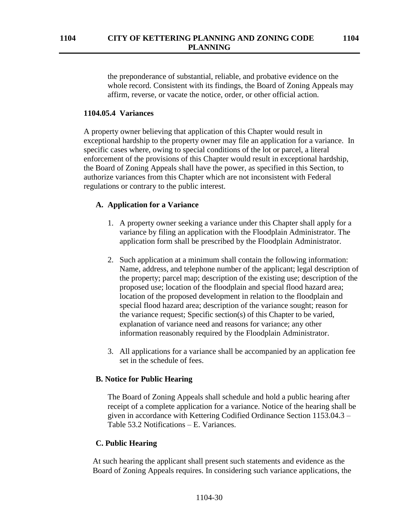the preponderance of substantial, reliable, and probative evidence on the whole record. Consistent with its findings, the Board of Zoning Appeals may affirm, reverse, or vacate the notice, order, or other official action.

### **1104.05.4 Variances**

A property owner believing that application of this Chapter would result in exceptional hardship to the property owner may file an application for a variance. In specific cases where, owing to special conditions of the lot or parcel, a literal enforcement of the provisions of this Chapter would result in exceptional hardship, the Board of Zoning Appeals shall have the power, as specified in this Section, to authorize variances from this Chapter which are not inconsistent with Federal regulations or contrary to the public interest.

#### **A. Application for a Variance**

- 1. A property owner seeking a variance under this Chapter shall apply for a variance by filing an application with the Floodplain Administrator. The application form shall be prescribed by the Floodplain Administrator.
- 2. Such application at a minimum shall contain the following information: Name, address, and telephone number of the applicant; legal description of the property; parcel map; description of the existing use; description of the proposed use; location of the floodplain and special flood hazard area; location of the proposed development in relation to the floodplain and special flood hazard area; description of the variance sought; reason for the variance request; Specific section(s) of this Chapter to be varied, explanation of variance need and reasons for variance; any other information reasonably required by the Floodplain Administrator.
- 3. All applications for a variance shall be accompanied by an application fee set in the schedule of fees.

#### **B. Notice for Public Hearing**

The Board of Zoning Appeals shall schedule and hold a public hearing after receipt of a complete application for a variance. Notice of the hearing shall be given in accordance with Kettering Codified Ordinance Section 1153.04.3 – Table 53.2 Notifications – E. Variances.

#### **C. Public Hearing**

At such hearing the applicant shall present such statements and evidence as the Board of Zoning Appeals requires. In considering such variance applications, the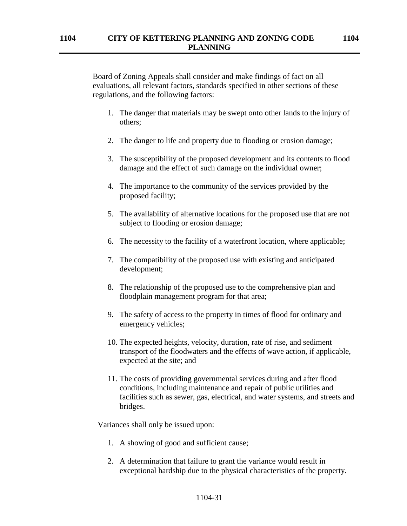Board of Zoning Appeals shall consider and make findings of fact on all evaluations, all relevant factors, standards specified in other sections of these regulations, and the following factors:

- 1. The danger that materials may be swept onto other lands to the injury of others;
- 2. The danger to life and property due to flooding or erosion damage;
- 3. The susceptibility of the proposed development and its contents to flood damage and the effect of such damage on the individual owner;
- 4. The importance to the community of the services provided by the proposed facility;
- 5. The availability of alternative locations for the proposed use that are not subject to flooding or erosion damage;
- 6. The necessity to the facility of a waterfront location, where applicable;
- 7. The compatibility of the proposed use with existing and anticipated development;
- 8. The relationship of the proposed use to the comprehensive plan and floodplain management program for that area;
- 9. The safety of access to the property in times of flood for ordinary and emergency vehicles;
- 10. The expected heights, velocity, duration, rate of rise, and sediment transport of the floodwaters and the effects of wave action, if applicable, expected at the site; and
- 11. The costs of providing governmental services during and after flood conditions, including maintenance and repair of public utilities and facilities such as sewer, gas, electrical, and water systems, and streets and bridges.

Variances shall only be issued upon:

- 1. A showing of good and sufficient cause;
- 2. A determination that failure to grant the variance would result in exceptional hardship due to the physical characteristics of the property.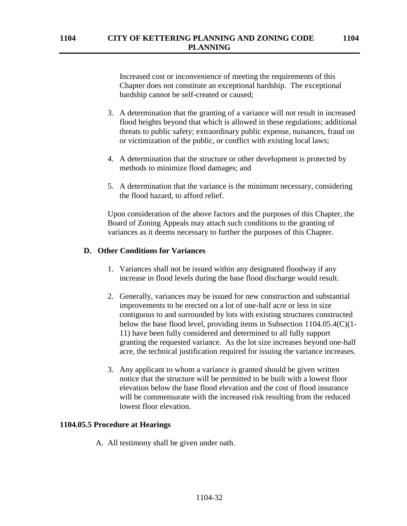Increased cost or inconvenience of meeting the requirements of this Chapter does not constitute an exceptional hardship. The exceptional hardship cannot be self-created or caused;

- 3. A determination that the granting of a variance will not result in increased flood heights beyond that which is allowed in these regulations; additional threats to public safety; extraordinary public expense, nuisances, fraud on or victimization of the public, or conflict with existing local laws;
- 4. A determination that the structure or other development is protected by methods to minimize flood damages; and
- 5. A determination that the variance is the minimum necessary, considering the flood hazard, to afford relief.

Upon consideration of the above factors and the purposes of this Chapter, the Board of Zoning Appeals may attach such conditions to the granting of variances as it deems necessary to further the purposes of this Chapter.

#### **D. Other Conditions for Variances**

- 1. Variances shall not be issued within any designated floodway if any increase in flood levels during the base flood discharge would result.
- 2. Generally, variances may be issued for new construction and substantial improvements to be erected on a lot of one-half acre or less in size contiguous to and surrounded by lots with existing structures constructed below the base flood level, providing items in Subsection 1104.05.4(C)(1- 11) have been fully considered and determined to all fully support granting the requested variance. As the lot size increases beyond one-half acre, the technical justification required for issuing the variance increases.
- 3. Any applicant to whom a variance is granted should be given written notice that the structure will be permitted to be built with a lowest floor elevation below the base flood elevation and the cost of flood insurance will be commensurate with the increased risk resulting from the reduced lowest floor elevation.

#### **1104.05.5 Procedure at Hearings**

A. All testimony shall be given under oath.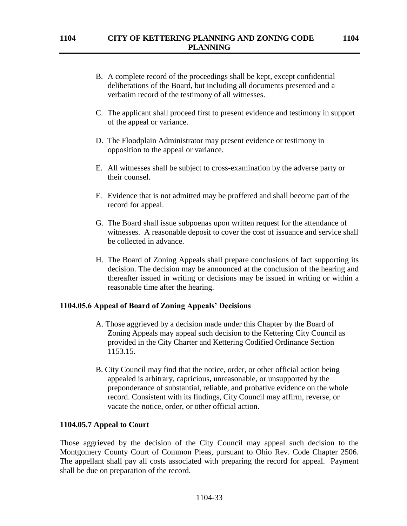- B. A complete record of the proceedings shall be kept, except confidential deliberations of the Board, but including all documents presented and a verbatim record of the testimony of all witnesses.
- C. The applicant shall proceed first to present evidence and testimony in support of the appeal or variance.
- D. The Floodplain Administrator may present evidence or testimony in opposition to the appeal or variance.
- E. All witnesses shall be subject to cross-examination by the adverse party or their counsel.
- F. Evidence that is not admitted may be proffered and shall become part of the record for appeal.
- G. The Board shall issue subpoenas upon written request for the attendance of witnesses. A reasonable deposit to cover the cost of issuance and service shall be collected in advance.
- H. The Board of Zoning Appeals shall prepare conclusions of fact supporting its decision. The decision may be announced at the conclusion of the hearing and thereafter issued in writing or decisions may be issued in writing or within a reasonable time after the hearing.

## **1104.05.6 Appeal of Board of Zoning Appeals' Decisions**

- A. Those aggrieved by a decision made under this Chapter by the Board of Zoning Appeals may appeal such decision to the Kettering City Council as provided in the City Charter and Kettering Codified Ordinance Section 1153.15.
- B. City Council may find that the notice, order, or other official action being appealed is arbitrary, capricious**,** unreasonable, or unsupported by the preponderance of substantial, reliable, and probative evidence on the whole record. Consistent with its findings, City Council may affirm, reverse, or vacate the notice, order, or other official action.

#### **1104.05.7 Appeal to Court**

Those aggrieved by the decision of the City Council may appeal such decision to the Montgomery County Court of Common Pleas, pursuant to Ohio Rev. Code Chapter 2506. The appellant shall pay all costs associated with preparing the record for appeal. Payment shall be due on preparation of the record.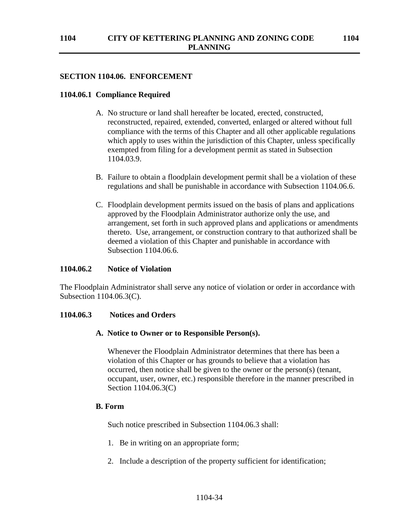## **SECTION 1104.06. ENFORCEMENT**

## **1104.06.1 Compliance Required**

- A. No structure or land shall hereafter be located, erected, constructed, reconstructed, repaired, extended, converted, enlarged or altered without full compliance with the terms of this Chapter and all other applicable regulations which apply to uses within the jurisdiction of this Chapter, unless specifically exempted from filing for a development permit as stated in Subsection 1104.03.9.
- B. Failure to obtain a floodplain development permit shall be a violation of these regulations and shall be punishable in accordance with Subsection 1104.06.6.
- C. Floodplain development permits issued on the basis of plans and applications approved by the Floodplain Administrator authorize only the use, and arrangement, set forth in such approved plans and applications or amendments thereto. Use, arrangement, or construction contrary to that authorized shall be deemed a violation of this Chapter and punishable in accordance with Subsection 1104.06.6.

## **1104.06.2 Notice of Violation**

The Floodplain Administrator shall serve any notice of violation or order in accordance with Subsection 1104.06.3(C).

## **1104.06.3 Notices and Orders**

## **A. Notice to Owner or to Responsible Person(s).**

Whenever the Floodplain Administrator determines that there has been a violation of this Chapter or has grounds to believe that a violation has occurred, then notice shall be given to the owner or the person(s) (tenant, occupant, user, owner, etc.) responsible therefore in the manner prescribed in Section 1104.06.3(C)

# **B. Form**

Such notice prescribed in Subsection 1104.06.3 shall:

- 1. Be in writing on an appropriate form;
- 2. Include a description of the property sufficient for identification;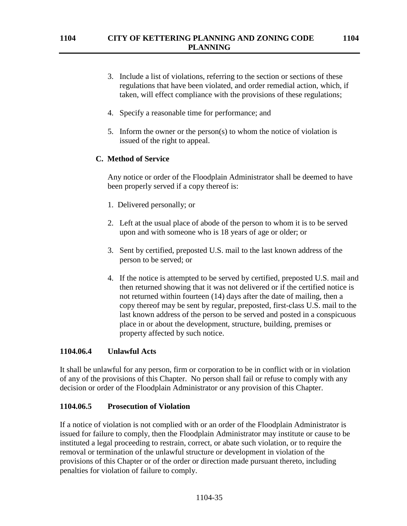- 3. Include a list of violations, referring to the section or sections of these regulations that have been violated, and order remedial action, which, if taken, will effect compliance with the provisions of these regulations;
- 4. Specify a reasonable time for performance; and
- 5. Inform the owner or the person(s) to whom the notice of violation is issued of the right to appeal.

### **C. Method of Service**

Any notice or order of the Floodplain Administrator shall be deemed to have been properly served if a copy thereof is:

- 1. Delivered personally; or
- 2. Left at the usual place of abode of the person to whom it is to be served upon and with someone who is 18 years of age or older; or
- 3. Sent by certified, preposted U.S. mail to the last known address of the person to be served; or
- 4. If the notice is attempted to be served by certified, preposted U.S. mail and then returned showing that it was not delivered or if the certified notice is not returned within fourteen (14) days after the date of mailing, then a copy thereof may be sent by regular, preposted, first-class U.S. mail to the last known address of the person to be served and posted in a conspicuous place in or about the development, structure, building, premises or property affected by such notice.

#### **1104.06.4 Unlawful Acts**

It shall be unlawful for any person, firm or corporation to be in conflict with or in violation of any of the provisions of this Chapter. No person shall fail or refuse to comply with any decision or order of the Floodplain Administrator or any provision of this Chapter.

#### **1104.06.5 Prosecution of Violation**

If a notice of violation is not complied with or an order of the Floodplain Administrator is issued for failure to comply, then the Floodplain Administrator may institute or cause to be instituted a legal proceeding to restrain, correct, or abate such violation, or to require the removal or termination of the unlawful structure or development in violation of the provisions of this Chapter or of the order or direction made pursuant thereto, including penalties for violation of failure to comply.